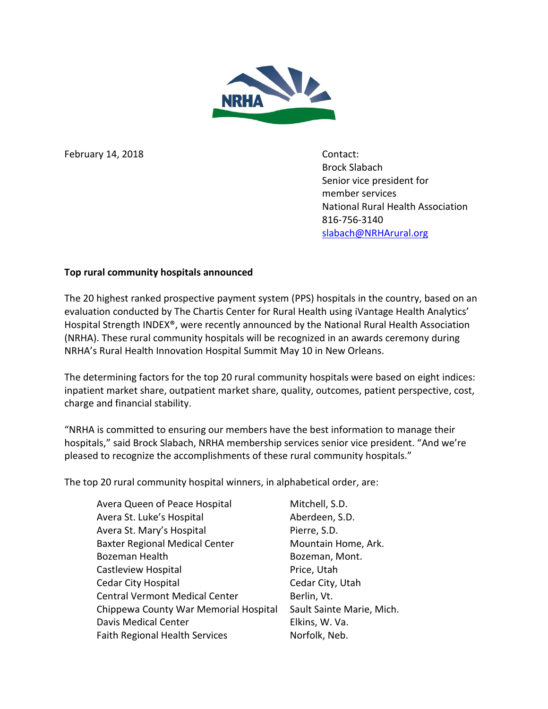

February 14, 2018 Contact:

Brock Slabach Senior vice president for member services National Rural Health Association 816-756-3140 [slabach@NRHArural.org](mailto:slabach@NRHArural.org)

## **Top rural community hospitals announced**

The 20 highest ranked prospective payment system (PPS) hospitals in the country, based on an evaluation conducted by The Chartis Center for Rural Health using iVantage Health Analytics' Hospital Strength INDEX®, were recently announced by the National Rural Health Association (NRHA). These rural community hospitals will be recognized in an awards ceremony during NRHA's Rural Health Innovation Hospital Summit May 10 in New Orleans.

The determining factors for the top 20 rural community hospitals were based on eight indices: inpatient market share, outpatient market share, quality, outcomes, patient perspective, cost, charge and financial stability.

"NRHA is committed to ensuring our members have the best information to manage their hospitals," said Brock Slabach, NRHA membership services senior vice president. "And we're pleased to recognize the accomplishments of these rural community hospitals."

The top 20 rural community hospital winners, in alphabetical order, are:

| Avera Queen of Peace Hospital         | Mitchell, S.D.            |
|---------------------------------------|---------------------------|
| Avera St. Luke's Hospital             | Aberdeen, S.D.            |
| Avera St. Mary's Hospital             | Pierre, S.D.              |
| <b>Baxter Regional Medical Center</b> | Mountain Home, Ark.       |
| <b>Bozeman Health</b>                 | Bozeman, Mont.            |
| Castleview Hospital                   | Price, Utah               |
| <b>Cedar City Hospital</b>            | Cedar City, Utah          |
| <b>Central Vermont Medical Center</b> | Berlin, Vt.               |
| Chippewa County War Memorial Hospital | Sault Sainte Marie, Mich. |
| Davis Medical Center                  | Elkins, W. Va.            |
| <b>Faith Regional Health Services</b> | Norfolk, Neb.             |